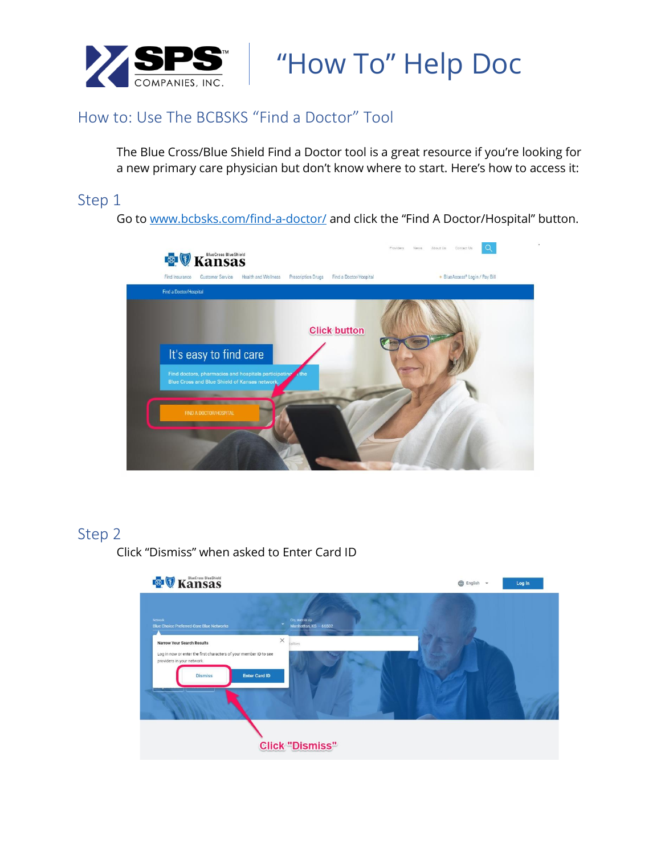

**SPS** How To" Help Doc

## How to: Use The BCBSKS "Find a Doctor" Tool

The Blue Cross/Blue Shield Find a Doctor tool is a great resource if you're looking for a new primary care physician but don't know where to start. Here's how to access it:

### Step 1

Go to [www.bcbsks.com/find-a-doctor/](http://www.bcbsks.com/find-a-doctor/) and click the "Find A Doctor/Hospital" button.



### Step 2

Click "Dismiss" when asked to Enter Card ID

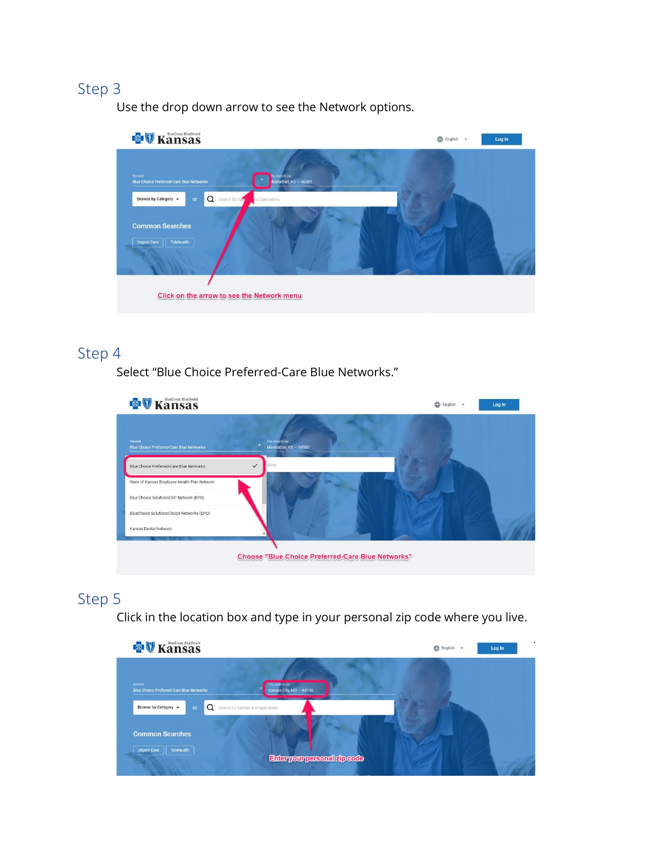Use the drop down arrow to see the Network options.



## Step 4

Select "Blue Choice Preferred-Care Blue Networks."

| <b>&amp;</b> <i>V</i> Kansas                               |                                             | English +<br>Log In |  |
|------------------------------------------------------------|---------------------------------------------|---------------------|--|
| Network<br><b>Blue Choice Preferred-Care Blue Networks</b> | City, state or zip<br>Manhattan, KS - 66502 |                     |  |
| $\checkmark$<br>Blue Choice Preferred-Care Blue Networks   | alties.                                     |                     |  |
| State of Kansas Employee Health Plan Network               |                                             |                     |  |
| Blue Choice SolutionsCAP Network (EPO)                     |                                             |                     |  |
| BlueChoice SolutionsChoice Networks (EPO)                  |                                             |                     |  |
| Kansas Dental Network                                      |                                             |                     |  |
|                                                            |                                             |                     |  |
| Choose "Blue Choice Preferred-Care Blue Networks"          |                                             |                     |  |

# Step 5

Click in the location box and type in your personal zip code where you live.

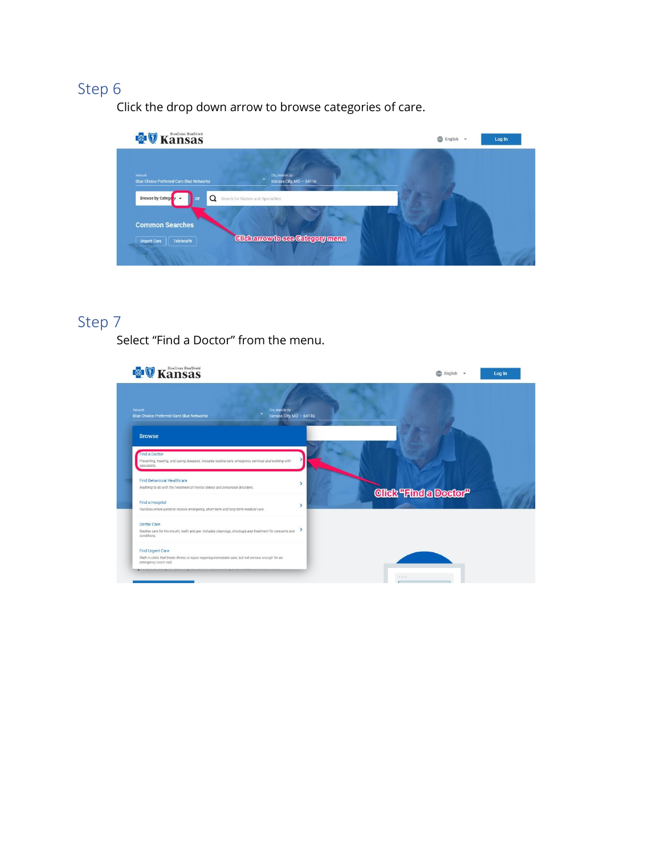Click the drop down arrow to browse categories of care.



# Step 7

Select "Find a Doctor" from the menu.

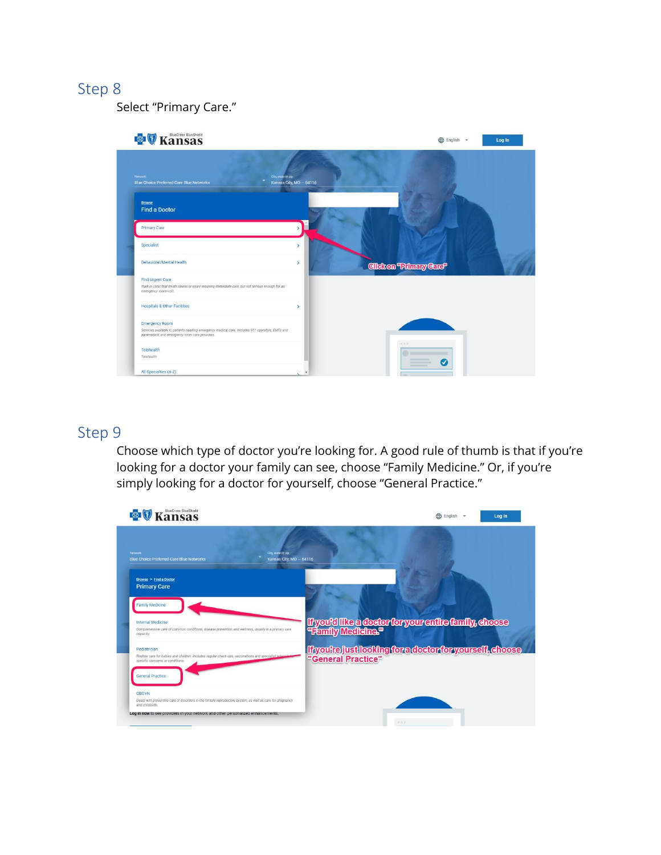Select "Primary Care."



### Step 9

Choose which type of doctor you're looking for. A good rule of thumb is that if you're looking for a doctor your family can see, choose "Family Medicine." Or, if you're simply looking for a doctor for yourself, choose "General Practice."

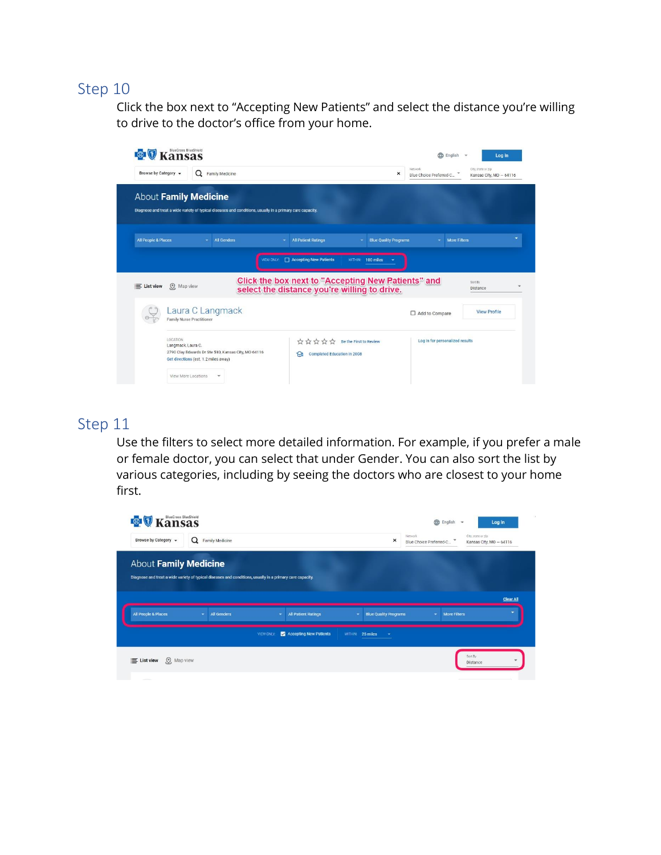Click the box next to "Accepting New Patients" and select the distance you're willing to drive to the doctor's office from your home.



### Step 11

Use the filters to select more detailed information. For example, if you prefer a male or female doctor, you can select that under Gender. You can also sort the list by various categories, including by seeing the doctors who are closest to your home first.